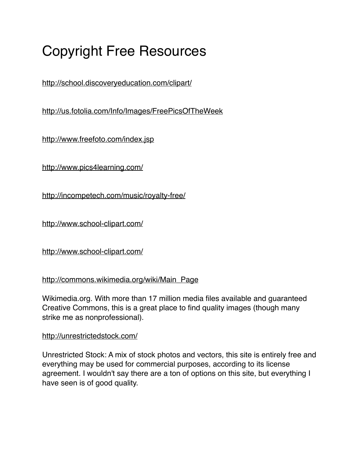# Copyright Free Resources

<http://school.discoveryeducation.com/clipart/>

<http://us.fotolia.com/Info/Images/FreePicsOfTheWeek>

<http://www.freefoto.com/index.jsp>

<http://www.pics4learning.com/>

<http://incompetech.com/music/royalty-free/>

<http://www.school-clipart.com/>

<http://www.school-clipart.com/>

# [http://commons.wikimedia.org/wiki/Main\\_Page](http://commons.wikimedia.org/wiki/Main_Page)

Wikimedia.org. With more than 17 million media files available and guaranteed Creative Commons, this is a great place to find quality images (though many strike me as nonprofessional).

# <http://unrestrictedstock.com/>

Unrestricted Stock: A mix of stock photos and vectors, this site is entirely free and everything may be used for commercial purposes, according to its license agreement. I wouldn't say there are a ton of options on this site, but everything I have seen is of good quality.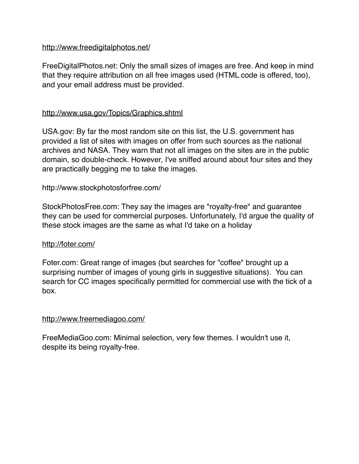## <http://www.freedigitalphotos.net/>

FreeDigitalPhotos.net: Only the small sizes of images are free. And keep in mind that they require attribution on all free images used (HTML code is offered, too), and your email address must be provided.

## <http://www.usa.gov/Topics/Graphics.shtml>

USA.gov: By far the most random site on this list, the U.S. government has provided a list of sites with images on offer from such sources as the national archives and NASA. They warn that not all images on the sites are in the public domain, so double-check. However, I've sniffed around about four sites and they are practically begging me to take the images.

## http://www.stockphotosforfree.com/

StockPhotosFree.com: They say the images are "royalty-free" and guarantee they can be used for commercial purposes. Unfortunately, I'd argue the quality of these stock images are the same as what I'd take on a holiday

#### <http://foter.com/>

Foter.com: Great range of images (but searches for "coffee" brought up a surprising number of images of young girls in suggestive situations). You can search for CC images specifically permitted for commercial use with the tick of a box.

#### <http://www.freemediagoo.com/>

FreeMediaGoo.com: Minimal selection, very few themes. I wouldn't use it, despite its being royalty-free.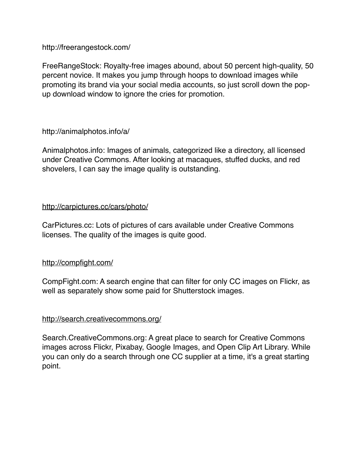http://freerangestock.com/

FreeRangeStock: Royalty-free images abound, about 50 percent high-quality, 50 percent novice. It makes you jump through hoops to download images while promoting its brand via your social media accounts, so just scroll down the popup download window to ignore the cries for promotion.

http://animalphotos.info/a/

Animalphotos.info: Images of animals, categorized like a directory, all licensed under Creative Commons. After looking at macaques, stuffed ducks, and red shovelers, I can say the image quality is outstanding.

## <http://carpictures.cc/cars/photo/>

CarPictures.cc: Lots of pictures of cars available under Creative Commons licenses. The quality of the images is quite good.

# <http://compfight.com/>

CompFight.com: A search engine that can filter for only CC images on Flickr, as well as separately show some paid for Shutterstock images.

#### <http://search.creativecommons.org/>

Search.CreativeCommons.org: A great place to search for Creative Commons images across Flickr, Pixabay, Google Images, and Open Clip Art Library. While you can only do a search through one CC supplier at a time, it's a great starting point.